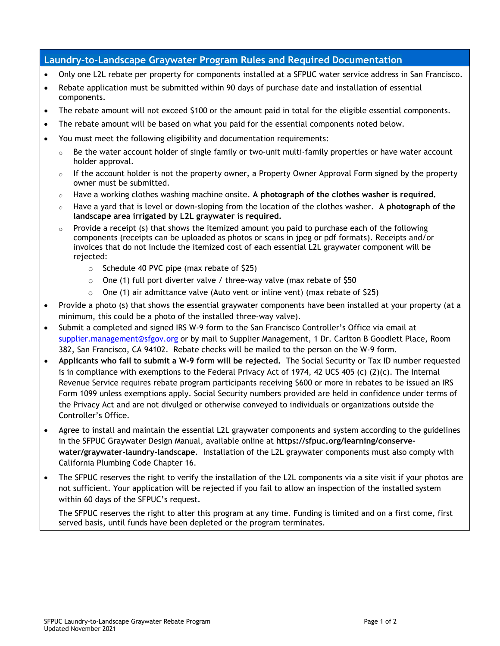## **Laundry-to-Landscape Graywater Program Rules and Required Documentation**

- Only one L2L rebate per property for components installed at a SFPUC water service address in San Francisco.
- Rebate application must be submitted within 90 days of purchase date and installation of essential components.
- The rebate amount will not exceed \$100 or the amount paid in total for the eligible essential components.
- The rebate amount will be based on what you paid for the essential components noted below.
- You must meet the following eligibility and documentation requirements:
	- Be the water account holder of single family or two-unit multi-family properties or have water account holder approval.
	- $\circ$  If the account holder is not the property owner, a Property Owner Approval Form signed by the property owner must be submitted.
	- o Have a working clothes washing machine onsite. **A photograph of the clothes washer is required.**
	- o Have a yard that is level or down-sloping from the location of the clothes washer. **A photograph of the landscape area irrigated by L2L graywater is required.**
	- Provide a receipt (s) that shows the itemized amount you paid to purchase each of the following components (receipts can be uploaded as photos or scans in jpeg or pdf formats). Receipts and/or invoices that do not include the itemized cost of each essential L2L graywater component will be rejected:
		- o Schedule 40 PVC pipe (max rebate of \$25)
		- $\circ$  One (1) full port diverter valve / three-way valve (max rebate of \$50
		- o One (1) air admittance valve (Auto vent or inline vent) (max rebate of \$25)
- Provide a photo (s) that shows the essential graywater components have been installed at your property (at a minimum, this could be a photo of the installed three-way valve).
- Submit a completed and signed IRS W-9 form to the San Francisco Controller's Office via email at [supplier.management@sfgov.org](mailto:supplier.management@sfgov.org) or by mail to Supplier Management, 1 Dr. Carlton B Goodlett Place, Room 382, San Francisco, CA 94102. Rebate checks will be mailed to the person on the W-9 form.
- **Applicants who fail to submit a W-9 form will be rejected.** The Social Security or Tax ID number requested is in compliance with exemptions to the Federal Privacy Act of 1974, 42 UCS 405 (c)  $(2)(c)$ . The Internal Revenue Service requires rebate program participants receiving \$600 or more in rebates to be issued an IRS Form 1099 unless exemptions apply. Social Security numbers provided are held in confidence under terms of the Privacy Act and are not divulged or otherwise conveyed to individuals or organizations outside the Controller's Office.
- Agree to install and maintain the essential L2L graywater components and system according to the guidelines in the SFPUC Graywater Design Manual, available online at **https://sfpuc.org/learning/conservewater/graywater-laundry-landscape**. Installation of the L2L graywater components must also comply with California Plumbing Code Chapter 16.
- The SFPUC reserves the right to verify the installation of the L2L components via a site visit if your photos are not sufficient. Your application will be rejected if you fail to allow an inspection of the installed system within 60 days of the SFPUC's request.

The SFPUC reserves the right to alter this program at any time. Funding is limited and on a first come, first served basis, until funds have been depleted or the program terminates.